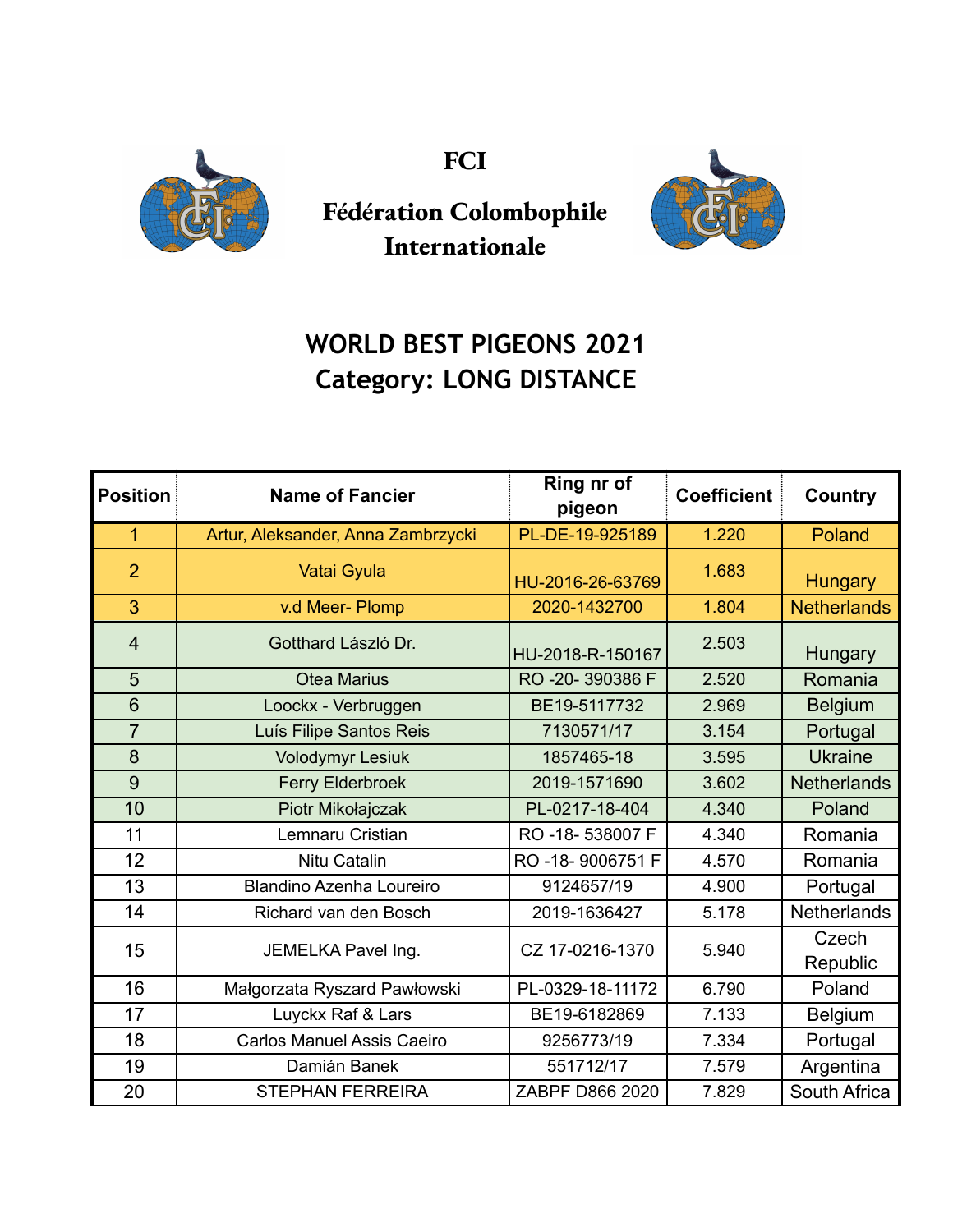

**FCI**



## **Fédération Colombophile Internationale**

## **WORLD BEST PIGEONS 2021 Category: LONG DISTANCE**

| <b>Position</b> | <b>Name of Fancier</b>             | Ring nr of<br>pigeon | <b>Coefficient</b> | <b>Country</b>     |
|-----------------|------------------------------------|----------------------|--------------------|--------------------|
| $\mathbf{1}$    | Artur, Aleksander, Anna Zambrzycki | PL-DE-19-925189      | 1.220              | Poland             |
| $\overline{2}$  | Vatai Gyula                        | HU-2016-26-63769     | 1.683              | <b>Hungary</b>     |
| 3               | v.d Meer- Plomp                    | 2020-1432700         | 1.804              | <b>Netherlands</b> |
| $\overline{4}$  | Gotthard László Dr.                | HU-2018-R-150167     | 2.503              | Hungary            |
| 5               | <b>Otea Marius</b>                 | RO-20-390386 F       | 2.520              | Romania            |
| 6               | Loockx - Verbruggen                | BE19-5117732         | 2.969              | <b>Belgium</b>     |
| $\overline{7}$  | Luís Filipe Santos Reis            | 7130571/17           | 3.154              | Portugal           |
| 8               | <b>Volodymyr Lesiuk</b>            | 1857465-18           | 3.595              | <b>Ukraine</b>     |
| 9               | <b>Ferry Elderbroek</b>            | 2019-1571690         | 3.602              | <b>Netherlands</b> |
| 10              | Piotr Mikołajczak                  | PL-0217-18-404       | 4.340              | Poland             |
| 11              | Lemnaru Cristian                   | RO-18-538007 F       | 4.340              | Romania            |
| 12              | Nitu Catalin                       | RO-18-9006751 F      | 4.570              | Romania            |
| 13              | <b>Blandino Azenha Loureiro</b>    | 9124657/19           | 4.900              | Portugal           |
| 14              | Richard van den Bosch              | 2019-1636427         | 5.178              | Netherlands        |
| 15              | JEMELKA Pavel Ing.                 | CZ 17-0216-1370      | 5.940              | Czech              |
|                 |                                    |                      |                    | Republic           |
| 16              | Małgorzata Ryszard Pawłowski       | PL-0329-18-11172     | 6.790              | Poland             |
| 17              | Luyckx Raf & Lars                  | BE19-6182869         | 7.133              | <b>Belgium</b>     |
| 18              | <b>Carlos Manuel Assis Caeiro</b>  | 9256773/19           | 7.334              | Portugal           |
| 19              | Damián Banek                       | 551712/17            | 7.579              | Argentina          |
| 20              | <b>STEPHAN FERREIRA</b>            | ZABPF D866 2020      | 7.829              | South Africa       |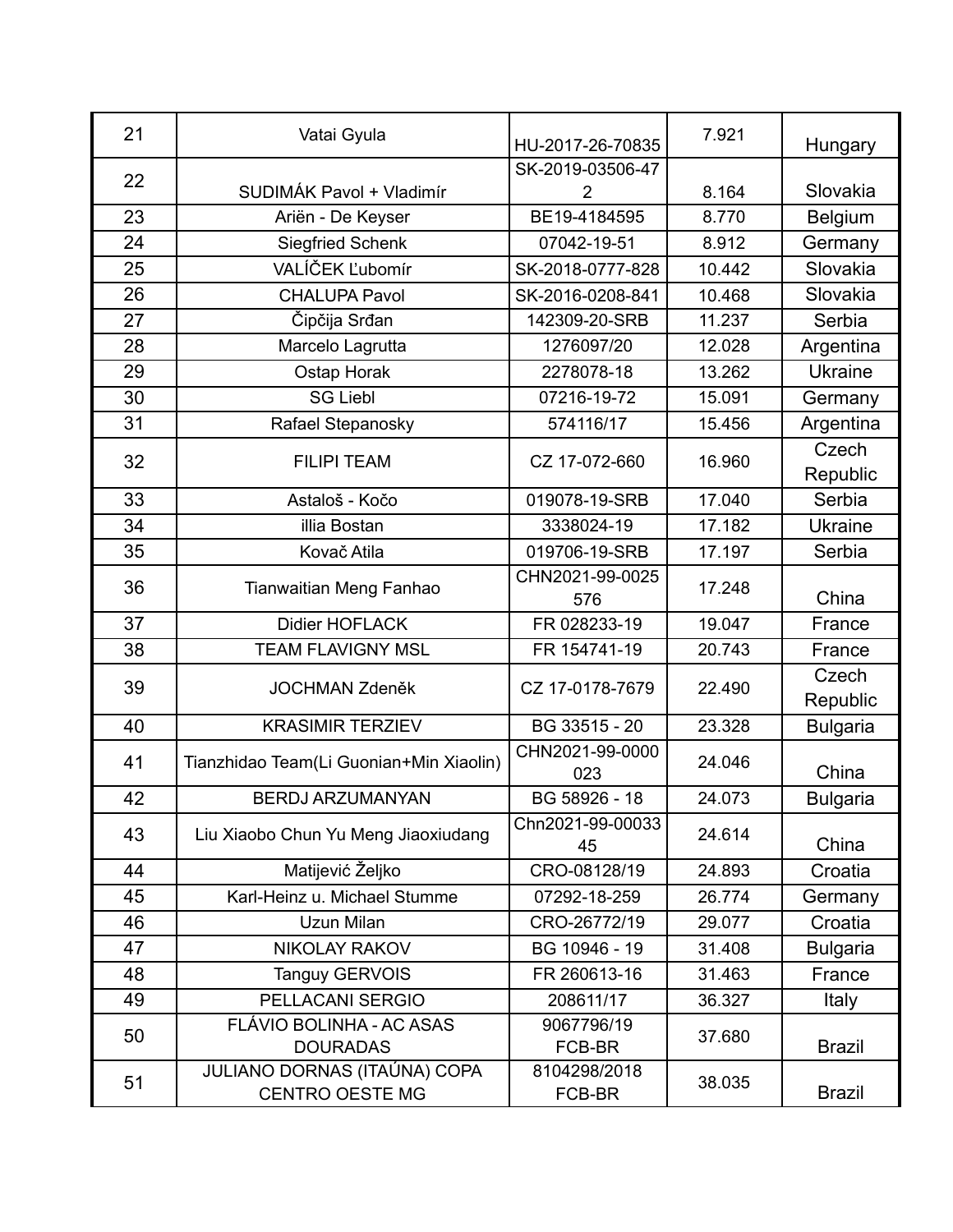| 21 | Vatai Gyula                                            | HU-2017-26-70835       | 7.921  | Hungary           |
|----|--------------------------------------------------------|------------------------|--------|-------------------|
| 22 |                                                        | SK-2019-03506-47       |        |                   |
|    | SUDIMÁK Pavol + Vladimír                               | 2                      | 8.164  | Slovakia          |
| 23 | Ariën - De Keyser                                      | BE19-4184595           | 8.770  | <b>Belgium</b>    |
| 24 | <b>Siegfried Schenk</b>                                | 07042-19-51            | 8.912  | Germany           |
| 25 | VALÍČEK Ľubomír                                        | SK-2018-0777-828       | 10.442 | Slovakia          |
| 26 | <b>CHALUPA Pavol</b>                                   | SK-2016-0208-841       | 10.468 | Slovakia          |
| 27 | Čipčija Srđan                                          | 142309-20-SRB          | 11.237 | Serbia            |
| 28 | Marcelo Lagrutta                                       | 1276097/20             | 12.028 | Argentina         |
| 29 | Ostap Horak                                            | 2278078-18             | 13.262 | <b>Ukraine</b>    |
| 30 | <b>SG Liebl</b>                                        | 07216-19-72            | 15.091 | Germany           |
| 31 | Rafael Stepanosky                                      | 574116/17              | 15.456 | Argentina         |
| 32 | <b>FILIPI TEAM</b>                                     | CZ 17-072-660          | 16.960 | Czech<br>Republic |
| 33 | Astaloš - Kočo                                         | 019078-19-SRB          | 17.040 | Serbia            |
| 34 | illia Bostan                                           | 3338024-19             | 17.182 | <b>Ukraine</b>    |
| 35 | Kovač Atila                                            | 019706-19-SRB          | 17.197 | Serbia            |
| 36 | Tianwaitian Meng Fanhao                                | CHN2021-99-0025<br>576 | 17.248 | China             |
| 37 | <b>Didier HOFLACK</b>                                  | FR 028233-19           | 19.047 | France            |
| 38 | <b>TEAM FLAVIGNY MSL</b>                               | FR 154741-19           | 20.743 | France            |
| 39 | <b>JOCHMAN Zdeněk</b>                                  | CZ 17-0178-7679        | 22.490 | Czech<br>Republic |
| 40 | <b>KRASIMIR TERZIEV</b>                                | BG 33515 - 20          | 23.328 | <b>Bulgaria</b>   |
| 41 | Tianzhidao Team(Li Guonian+Min Xiaolin)                | CHN2021-99-0000<br>023 | 24.046 | China             |
| 42 | <b>BERDJ ARZUMANYAN</b>                                | BG 58926 - 18          | 24.073 | <b>Bulgaria</b>   |
| 43 | Liu Xiaobo Chun Yu Meng Jiaoxiudang                    | Chn2021-99-00033<br>45 | 24.614 | China             |
| 44 | Matijević Željko                                       | CRO-08128/19           | 24.893 | Croatia           |
| 45 | Karl-Heinz u. Michael Stumme                           | 07292-18-259           | 26.774 | Germany           |
| 46 | Uzun Milan                                             | CRO-26772/19           | 29.077 | Croatia           |
| 47 | NIKOLAY RAKOV                                          | BG 10946 - 19          | 31.408 | <b>Bulgaria</b>   |
| 48 | Tanguy GERVOIS                                         | FR 260613-16           | 31.463 | France            |
| 49 | PELLACANI SERGIO                                       | 208611/17              | 36.327 | Italy             |
| 50 | FLÁVIO BOLINHA - AC ASAS<br><b>DOURADAS</b>            | 9067796/19<br>FCB-BR   | 37.680 | <b>Brazil</b>     |
| 51 | JULIANO DORNAS (ITAÚNA) COPA<br><b>CENTRO OESTE MG</b> | 8104298/2018<br>FCB-BR | 38.035 | <b>Brazil</b>     |